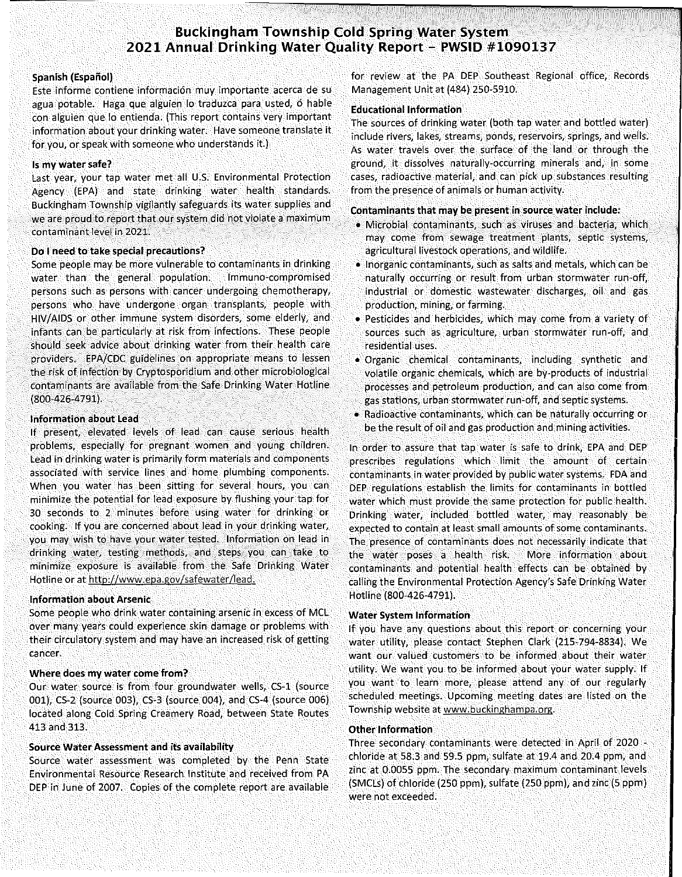# **Buckingham Township Cold Spring Water System 2021 Annual Drinking Water Quality Report - PWSID #1090137**

#### Spanish (Español)

**Este informe contiene informaci6n muy importante acerca de su**  agua potable. Haga que alguien 10 traduzca para usted, 6 hable con alguien que lo entienda. (This report contains very important information about your drinking water. Have someone translate it for you, or speak with someone who understands it.)

#### Is my water safe?

Last year, your tap water met all U.s. Environmental Protection Agency (EPA) and state drinking water health standards. Buckingham Township vigilantly safeguards its water supplies and we are proud to report that our system did not violate a maximum **contaminant level in 2021.** 

#### Do I need to take special precautions?

Some people may be more vulnerable to contaminants in drinking water than the general population. Immuno-compromised persons such as persons with cancer undergoing chemotherapy, persons who have undergone organ transplants, people with HIV/AIDS or other immune system disorders, some elderly, and infants can be particularly at risk from infections. These people should seek advice about drinking water from their health care providers. EPA/CDC guidelines on appropriate means to lessen the risk of infection by Cryptosporidium and other microbiological contaminants are available from the Safe Drinking Water Hotline (800-426-4791).

#### Information about Lead

If present, elevated levels of lead can cause serious health problems, especially for pregnant women and young children. lead in drinking water is primarily form materials and components associated with service lines and home plumbing components. When you water has been sitting for several hours, you can minimize the potential for lead exposure by flushing your tap for 30 seconds to 2 minutes before using water for drinking or cooking. If you are concerned about lead in your drinking water, you may wish to have your water tested. Information on lead in drinking water, testing methods, and steps you can take to minimize exposure is available from the Safe Drinking Water Hotline Or at http://www.epa.gov/safewater/lead.

#### Information about Arsenic

Some people who drink water containing arsenic in excess of MCl over many years could experience skin damage or problems with their circulatory system and may have an increased risk of getting **cancer.** 

#### Where does my water come from?

Our water source is from four groundwater wells, CS-l (source 001), CS-2 (source 003), CS-3 (source 004), and CS-4 (source 006) located along Cold Spring Creamery Road, between State Routes 413 and 313.

### Source Water Assessment and its availability

Source water assessment was completed by the Penn State Environmental Resource Research Institute and received from PA DEP in June of 2007. Copies of the complete report are available

for review at the PA DEP Southeast Regional office, Records Management Unit at (484) 250-5910.

#### Educational Information

The sources of drinking water (both tap water and bottled water) **include rivers, lakes, streams, ponds, reservoirs, springs, and wells.**  As water travels over the surface of the land or through the **ground, it dissolves naturally-occurring minerals and, in some cases, radioactive material, and can pick up substances resulting**  from the presence of animals or human activity.

#### Contaminants that may be present in source water indude:

- Microbial contaminants, such as viruses and bacteria, which **may come from sewage treatment plants, septic systems,**  agricultural livestock operations, and wildlife.
- **Inorganic contaminants, such as salts and metals, which can be naturally occurring or result from urban stormwater run-off,**  industrial or domestic wastewater discharges, oil and gas production, mining, or farming.
- Pesticides and herbicides, which may come from a variety of **sources such as agriculture, urban stormwater run-off, and residential uses.**
- Organic chemical contaminants, including synthetic and volatile organic chemicals, which are by-products of industrial processes and petroleum production, and can also come from **gas stations, urban stormwater run-off, and septic systems.**
- **Radioactive contaminants, which can be naturally occurring or**  be the result of oil and gas production and mining activities.

In order to assure that tap water is safe to drink, EPA and DEP prescribes regulations which limit the amount of certain contaminants in water provided by public water systems. FDA and DEP regulations establish the limits for contaminants in bottled water which must provide the same protection for public health. Drinking water, included bottled water, may reasonably be expected to contain at least small amounts of some contaminants. The presence of contaminants does not necessarily indicate that the water poses a health risk. More information about contaminants and potential health effects can be obtained by calling the Environmental Protection Agency's Safe Drinking Water Hotline (800-426-4791).

#### Water System Information

If you have any questions about this report or concerning your water utility, please contact Stephen Clark (215-794-8834). We want our valued customers to be informed about their water utility. We want you to be informed about your water supply. If you want to learn more, please attend any of our regularly scheduled meetings. Upcoming meeting dates are listed on the Township website at www.buckinghampa.org.

#### Other Information

Three secondary contaminants were detected in April of 2020 chloride at 58.3 and 59.5 ppm, sulfate at 19.4 and 20.4 ppm, and zinc at 0.0055 ppm. The secondary maximum contaminant levels (SMCls) of chloride (250 ppm), sulfate (250 ppm), and zinc (5 ppm) were not exceeded.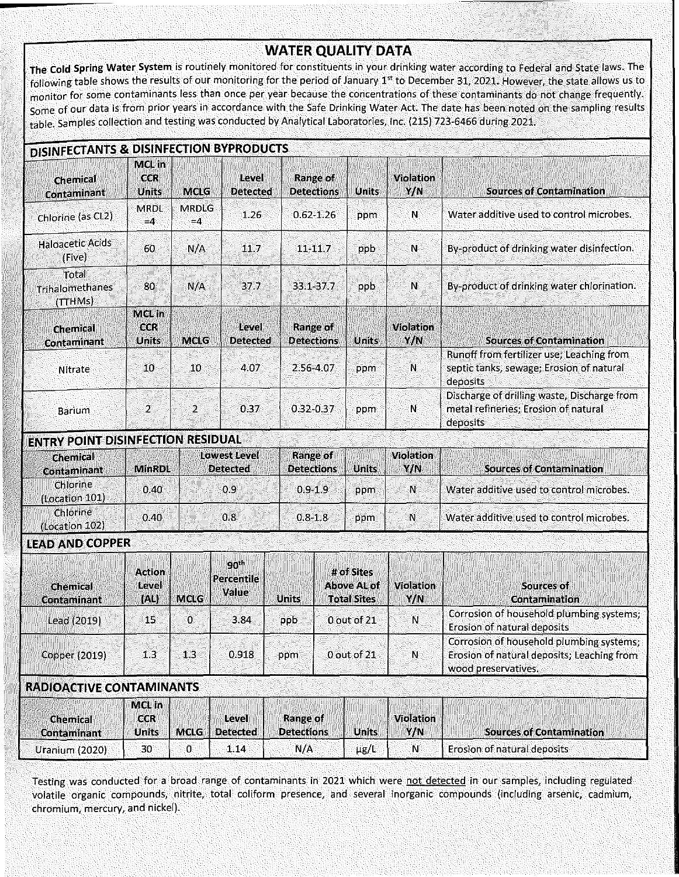# **WATER QUALITY DATA**

**The Cold Spring Water System is** routinely monitored for constituents in your drinking water according to Federal and State laws. The following table shows the results of our monitoring for the period of January 1<sup>st</sup> to December 31, 2021. However, the state allows us to monitor for some contaminants less than once per year because the concentrations of these contaminants do not change frequently. Some of our data is from prior years in accordance with the Safe Drinking Water Act. The date has been noted on the sampling results table. Samples collection and testing was conducted by Analytical laboratories, Inc. (215) 723-6466 during 2021.

| Chemical<br>Contaminant             | <b>MeLin</b><br><b>CCR</b><br>Units | MCLG                 | Level<br><b>Detected</b> | Range of<br><b>Detections</b> | Units | <b>Violation</b><br>Y/N | <b>Sources of Contamination</b>                                                                   |  |
|-------------------------------------|-------------------------------------|----------------------|--------------------------|-------------------------------|-------|-------------------------|---------------------------------------------------------------------------------------------------|--|
| Chlorine (as CL2)                   | <b>MRDL</b><br>$= 4$                | <b>MRDLG</b><br>$=4$ | 1.26                     | $0.62 - 1.26$                 | ppm   | Ñ                       | Water additive used to control microbes.                                                          |  |
| <b>Haloacetic Acids</b><br>(Five)   | 60                                  | N/A                  | 11.7                     | 11-11.7                       | ppb   | $\mathbf{N}$            | By-product of drinking water disinfection.                                                        |  |
| Total<br>Trihalomethanes<br>(TTHMs) | 80                                  | N/A                  | 37.7                     | 33.1-37.7                     | ppb   | N                       | By-product of drinking water chlorination.                                                        |  |
| <b>Chemical</b><br>Contaminant      | MCLIn<br><b>CCR</b><br>Units        | <b>MGLG</b>          | Level<br><b>Delected</b> | Range of<br><b>Detections</b> | Units | <b>Violation</b><br>Y/N | <b>Sources of Contamination</b>                                                                   |  |
| Nitrate                             | 10                                  | 10 <sup>°</sup>      | 4.07                     | 2.56-4.07                     | ppm   | N                       | Runoff from fertilizer use; Leaching from<br>septic tanks, sewage; Erosion of natural<br>deposits |  |
| Barium                              | $\mathbf{2}$                        | $\mathbf{2}$         | 0.37                     | $0.32 - 0.37$                 | ppm   | $\mathbf N$             | Discharge of drilling waste, Discharge from<br>metal refineries; Erosion of natural<br>deposits   |  |

| Chemical<br>Contaminant    | <b>MinRDL</b> | Lowest Level<br><b>Detected</b> | <b>Range of</b><br><b>Detections</b> | <b>Units</b> | Violation<br>Y/N | <b>Sources of Contamination</b>          |
|----------------------------|---------------|---------------------------------|--------------------------------------|--------------|------------------|------------------------------------------|
| Chlorine<br>(Location 101) | 0.40          | 0.9                             | $0.9 - 1.9$                          | ppm          | 'N.              | Water additive used to control microbes. |
| Chlorine<br>(Location 102) | 0.40          | 0.8                             | $0.8 - 1.8$                          | ppm          | $\mathbf{N}$     | Water additive used to control microbes. |

## **LEAD AND COPPER**

| Chemical<br>Contaminant | Actional<br>Level<br><b>TALE</b> | <b>MCLG</b> | $90^{\text{th}}$<br>Percentile<br>Value | <b>Uniis</b> | # of Sites<br><b>Above AL of</b><br><b>Total Sites</b> | Violation<br>Y/N. | Sources of<br><b>Contamination</b>                                                                            |
|-------------------------|----------------------------------|-------------|-----------------------------------------|--------------|--------------------------------------------------------|-------------------|---------------------------------------------------------------------------------------------------------------|
| Lead (2019)             | 15.                              | 0.          | 3.84                                    | ppb          | 0 out of 21                                            | 'N.               | Corrosion of household plumbing systems;<br>Erosion of natural deposits                                       |
| Copper (2019)           | 1.3                              | 13          | 0.918                                   | ppm          | 0 out of 21                                            | N.                | Corrosion of household plumbing systems;<br>Erosion of natural deposits; Leaching from<br>wood preservatives. |

### **RADiOACTIVE CONTAMINANTS**

|                                | <b>Melin</b>        |                                    |                               |              |                         |                             |                                 |
|--------------------------------|---------------------|------------------------------------|-------------------------------|--------------|-------------------------|-----------------------------|---------------------------------|
| Chemical<br><b>Contaminant</b> | <b>CCR</b><br>Units | Level<br>Detected  <br><b>MelG</b> | Range of<br><b>Detections</b> | <b>Units</b> | <b>Violation</b><br>Y/N |                             | <b>Sources of Contamination</b> |
| Uranium (2020)                 | 30.                 | 1.14                               | N/A                           | µg/L         | 'N.                     | Erosion of natural deposits |                                 |

Testing was conducted for a broad range of contaminants in 2021 which were not detected **in** our samples, including regulated volatile organic compounds, nitrite, total coliform presence, and several inorganic compounds (including arsenic, cadmium, chromium, mercury, and nickel).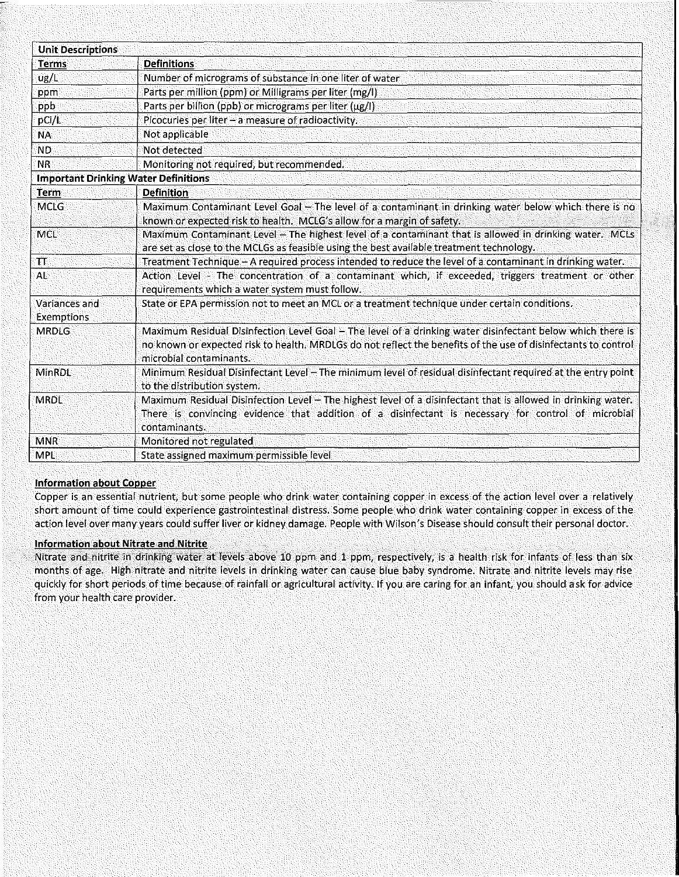| <b>Unit Descriptions</b>                    |                                                                                                                                                                                                                                                         |  |  |  |  |  |  |
|---------------------------------------------|---------------------------------------------------------------------------------------------------------------------------------------------------------------------------------------------------------------------------------------------------------|--|--|--|--|--|--|
| Terms                                       | <b>Definitions</b>                                                                                                                                                                                                                                      |  |  |  |  |  |  |
| ug/L                                        | Number of micrograms of substance in one liter of water                                                                                                                                                                                                 |  |  |  |  |  |  |
| ppm                                         | Parts per million (ppm) or Milligrams per liter (mg/l)                                                                                                                                                                                                  |  |  |  |  |  |  |
| ppb                                         | Parts per billion (ppb) or micrograms per liter (µg/l).                                                                                                                                                                                                 |  |  |  |  |  |  |
| pCi/L                                       | Picocuries per liter - a measure of radioactivity.                                                                                                                                                                                                      |  |  |  |  |  |  |
| <b>NA</b>                                   | Not applicable                                                                                                                                                                                                                                          |  |  |  |  |  |  |
| <b>ND</b>                                   | Not detected                                                                                                                                                                                                                                            |  |  |  |  |  |  |
| <b>NR</b>                                   | Monitoring not required, but recommended.                                                                                                                                                                                                               |  |  |  |  |  |  |
| <b>Important Drinking Water Definitions</b> |                                                                                                                                                                                                                                                         |  |  |  |  |  |  |
| Term                                        | <b>Definition</b>                                                                                                                                                                                                                                       |  |  |  |  |  |  |
| <b>MCLG</b>                                 | Maximum Contaminant Level Goal - The level of a contaminant in drinking water below which there is no<br>known or expected risk to health. MCLG's allow for a margin of safety.                                                                         |  |  |  |  |  |  |
| <b>MCL</b>                                  | Maximum Contaminant Level - The highest level of a contaminant that is allowed in drinking water. MCLs<br>are set as close to the MCLGs as feasible using the best available treatment technology.                                                      |  |  |  |  |  |  |
| $\bm{\pi}$                                  | Treatment Technique - A required process intended to reduce the level of a contaminant in drinking water.                                                                                                                                               |  |  |  |  |  |  |
| AL                                          | Action Level - The concentration of a contaminant which, if exceeded, triggers treatment or other<br>requirements which a water system must follow.                                                                                                     |  |  |  |  |  |  |
| Variances and<br><b>Exemptions</b>          | State or EPA permission not to meet an MCL or a treatment technique under certain conditions.                                                                                                                                                           |  |  |  |  |  |  |
| <b>MRDLG</b>                                | Maximum Residual Disinfection Level Goal - The level of a drinking water disinfectant below which there is<br>no known or expected risk to health. MRDLGs do not reflect the benefits of the use of disinfectants to control<br>microbial contaminants. |  |  |  |  |  |  |
| <b>MinRDL</b>                               | Minimum Residual Disinfectant Level - The minimum level of residual disinfectant required at the entry point<br>to the distribution system.                                                                                                             |  |  |  |  |  |  |
| <b>MRDL</b>                                 | Maximum Residual Disinfection Level - The highest level of a disinfectant that is allowed in drinking water.<br>There is convincing evidence that addition of a disinfectant is necessary for control of microbial<br>contaminants.                     |  |  |  |  |  |  |
| <b>MNR</b>                                  | Monitored not regulated                                                                                                                                                                                                                                 |  |  |  |  |  |  |
| <b>MPL</b>                                  | State assigned maximum permissible level                                                                                                                                                                                                                |  |  |  |  |  |  |

### Information about Copper

Copper is an essential nutrient, but some people who drink water containing copper in excess of the action level over a relatively short amount of time could experience gastrointestinal distress. Some people who drink water containing copper in excess of the action level over many years could suffer liver or kidney damage. People with Wilson's Disease should consult their personal doctor.

#### Information about Nitrate and Nitrite

Nitrate and nitrite in drinking water at levels above 10 ppm and 1 ppm, respectively, is a health risk for infants of less than six months of age. High nitrate and nitrite levels in drinking water can cause blue baby syndrome. Nitrate and nitrite levels may rise quickly for short periods of time because of rainfall or agricultural activity. If you are caring for an infant, you should ask for advice from your health care provider.